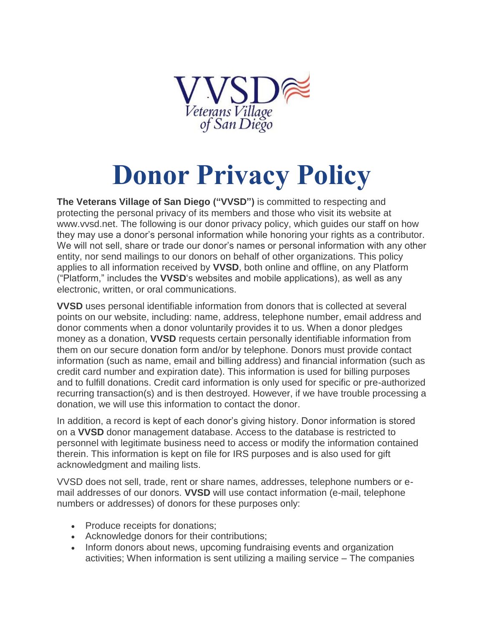

## **Donor Privacy Policy**

**The Veterans Village of San Diego ("VVSD")** is committed to respecting and protecting the personal privacy of its members and those who visit its website at www.vvsd.net. The following is our donor privacy policy, which guides our staff on how they may use a donor's personal information while honoring your rights as a contributor. We will not sell, share or trade our donor's names or personal information with any other entity, nor send mailings to our donors on behalf of other organizations. This policy applies to all information received by **VVSD**, both online and offline, on any Platform ("Platform," includes the **VVSD**'s websites and mobile applications), as well as any electronic, written, or oral communications.

**VVSD** uses personal identifiable information from donors that is collected at several points on our website, including: name, address, telephone number, email address and donor comments when a donor voluntarily provides it to us. When a donor pledges money as a donation, **VVSD** requests certain personally identifiable information from them on our secure donation form and/or by telephone. Donors must provide contact information (such as name, email and billing address) and financial information (such as credit card number and expiration date). This information is used for billing purposes and to fulfill donations. Credit card information is only used for specific or pre-authorized recurring transaction(s) and is then destroyed. However, if we have trouble processing a donation, we will use this information to contact the donor.

In addition, a record is kept of each donor's giving history. Donor information is stored on a **VVSD** donor management database. Access to the database is restricted to personnel with legitimate business need to access or modify the information contained therein. This information is kept on file for IRS purposes and is also used for gift acknowledgment and mailing lists.

VVSD does not sell, trade, rent or share names, addresses, telephone numbers or email addresses of our donors. **VVSD** will use contact information (e-mail, telephone numbers or addresses) of donors for these purposes only:

- Produce receipts for donations;
- Acknowledge donors for their contributions;
- Inform donors about news, upcoming fundraising events and organization activities; When information is sent utilizing a mailing service – The companies